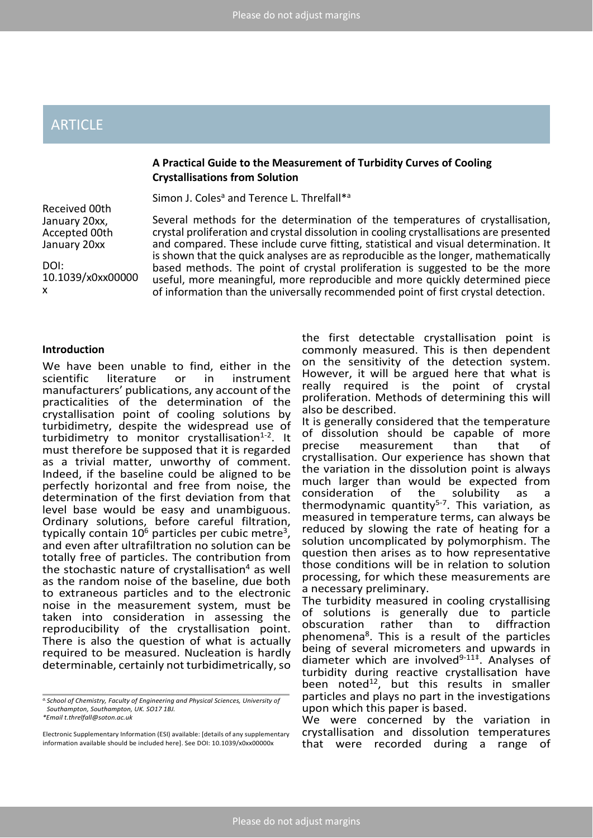# ARTICLE

# **A Practical Guide to the Measurement of Turbidity Curves of Cooling Crystallisations from Solution**

Simon J. Coles<sup>a</sup> and Terence L. Threlfall\*a

Received 00th January 20xx, Accepted 00th January 20xx

DOI: 10.1039/x0xx00000 x

Several methods for the determination of the temperatures of crystallisation, crystal proliferation and crystal dissolution in cooling crystallisations are presented and compared. These include curve fitting, statistical and visual determination. It is shown that the quick analyses are as reproducible as the longer, mathematically based methods. The point of crystal proliferation is suggested to be the more useful, more meaningful, more reproducible and more quickly determined piece of information than the universally recommended point of first crystal detection.

### **Introduction**

We have been unable to find, either in the scientific literature or in instrument literature or in manufacturers' publications, any account of the practicalities of the determination of the crystallisation point of cooling solutions by turbidimetry, despite the widespread use of turbidimetry to monitor crystallisation<sup>1-2</sup>. It must therefore be supposed that it is regarded as a trivial matter, unworthy of comment. Indeed, if the baseline could be aligned to be perfectly horizontal and free from noise, the determination of the first deviation from that level base would be easy and unambiguous. Ordinary solutions, before careful filtration, typically contain  $10^6$  particles per cubic metre<sup>3</sup>, and even after ultrafiltration no solution can be totally free of particles. The contribution from the stochastic nature of crystallisation<sup>4</sup> as well as the random noise of the baseline, due both to extraneous particles and to the electronic noise in the measurement system, must be taken into consideration in assessing the reproducibility of the crystallisation point. There is also the question of what is actually required to be measured. Nucleation is hardly determinable, certainly not turbidimetrically, so

*a.School of Chemistry, Faculty of Engineering and Physical Sciences, University of Southampton, Southampton, UK. SO17 1BJ. \*Email t.threlfall@soton.ac.uk* 

Electronic Supplementary Information (ESI) available: [details of any supplementary information available should be included here]. See DOI: 10.1039/x0xx00000x

the first detectable crystallisation point is commonly measured. This is then dependent on the sensitivity of the detection system. However, it will be argued here that what is really required is the point of crystal proliferation. Methods of determining this will also be described.

It is generally considered that the temperature of dissolution should be capable of more<br>
precise measurement than that of precise measurement than that of crystallisation. Our experience has shown that the variation in the dissolution point is always much larger than would be expected from consideration of the solubility as a thermodynamic quantity $5-7$ . This variation, as measured in temperature terms, can always be reduced by slowing the rate of heating for a solution uncomplicated by polymorphism. The question then arises as to how representative those conditions will be in relation to solution processing, for which these measurements are a necessary preliminary.

The turbidity measured in cooling crystallising of solutions is generally due to particle<br>obscuration rather than to diffraction obscuration rather than to phenomena<sup>8</sup>. This is a result of the particles being of several micrometers and upwards in diameter which are involved $9-11+$ . Analyses of turbidity during reactive crystallisation have been noted<sup>12</sup>, but this results in smaller particles and plays no part in the investigations upon which this paper is based.

We were concerned by the variation in crystallisation and dissolution temperatures that were recorded during a range of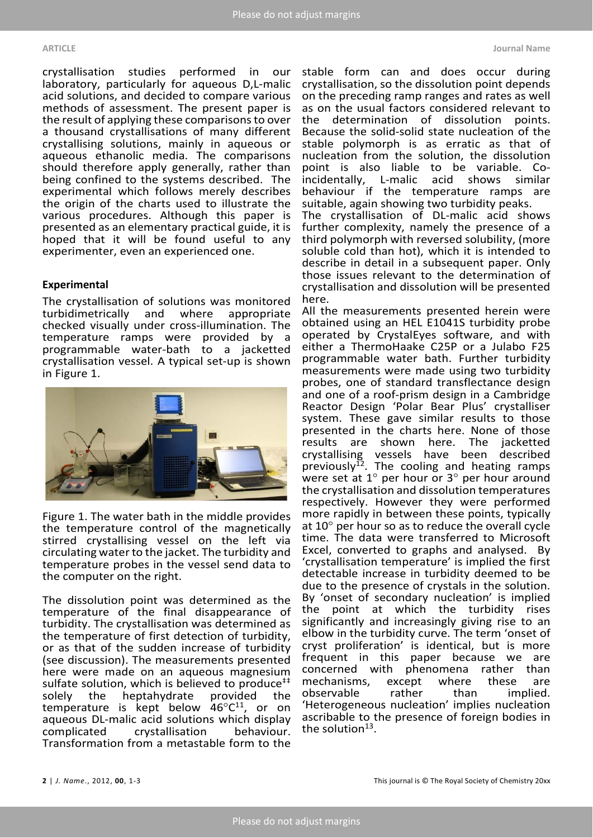crystallisation studies performed in our laboratory, particularly for aqueous D,L-malic acid solutions, and decided to compare various methods of assessment. The present paper is the result of applying these comparisons to over a thousand crystallisations of many different crystallising solutions, mainly in aqueous or aqueous ethanolic media. The comparisons should therefore apply generally, rather than being confined to the systems described. The experimental which follows merely describes the origin of the charts used to illustrate the various procedures. Although this paper is presented as an elementary practical guide, it is hoped that it will be found useful to any experimenter, even an experienced one.

#### **Experimental**

The crystallisation of solutions was monitored<br>turbidimetrically and where appropriate turbidimetrically and checked visually under cross-illumination. The temperature ramps were provided by a programmable water-bath to a jacketted crystallisation vessel. A typical set-up is shown in Figure 1.



Figure 1. The water bath in the middle provides the temperature control of the magnetically stirred crystallising vessel on the left via circulating water to the jacket. The turbidity and temperature probes in the vessel send data to the computer on the right.

The dissolution point was determined as the temperature of the final disappearance of turbidity. The crystallisation was determined as the temperature of first detection of turbidity, or as that of the sudden increase of turbidity (see discussion). The measurements presented here were made on an aqueous magnesium sulfate solution, which is believed to produce<sup>††</sup><br>solely the heptahydrate provided the solely the heptahydrate provided the temperature is kept below  $46^{\circ}C^{11}$ , or on aqueous DL-malic acid solutions which display complicated crystallisation behaviour. Transformation from a metastable form to the

stable form can and does occur during crystallisation, so the dissolution point depends on the preceding ramp ranges and rates as well as on the usual factors considered relevant to the determination of dissolution points. Because the solid-solid state nucleation of the stable polymorph is as erratic as that of nucleation from the solution, the dissolution point is also liable to be variable. Co-<br>incidentally, L-malic acid shows similar incidentally, L-malic behaviour if the temperature ramps are suitable, again showing two turbidity peaks.

The crystallisation of DL-malic acid shows further complexity, namely the presence of a third polymorph with reversed solubility, (more soluble cold than hot), which it is intended to describe in detail in a subsequent paper. Only those issues relevant to the determination of crystallisation and dissolution will be presented here.

All the measurements presented herein were obtained using an HEL E1041S turbidity probe operated by CrystalEyes software, and with either a ThermoHaake C25P or a Julabo F25 programmable water bath. Further turbidity measurements were made using two turbidity probes, one of standard transflectance design and one of a roof-prism design in a Cambridge Reactor Design 'Polar Bear Plus' crystalliser system. These gave similar results to those presented in the charts here. None of those results are shown here. The jacketted crystallising vessels have been described previously<sup>12</sup>. The cooling and heating ramps were set at 1° per hour or 3° per hour around the crystallisation and dissolution temperatures respectively. However they were performed more rapidly in between these points, typically at 10° per hour so as to reduce the overall cycle time. The data were transferred to Microsoft Excel, converted to graphs and analysed. By 'crystallisation temperature' is implied the first detectable increase in turbidity deemed to be due to the presence of crystals in the solution. By 'onset of secondary nucleation' is implied the point at which the turbidity rises significantly and increasingly giving rise to an elbow in the turbidity curve. The term 'onset of cryst proliferation' is identical, but is more frequent in this paper because we are concerned with phenomena rather than<br>mechanisms. except where these are mechanisms, except where these are<br>observable rather than implied. observable 'Heterogeneous nucleation' implies nucleation ascribable to the presence of foreign bodies in the solution $13$ .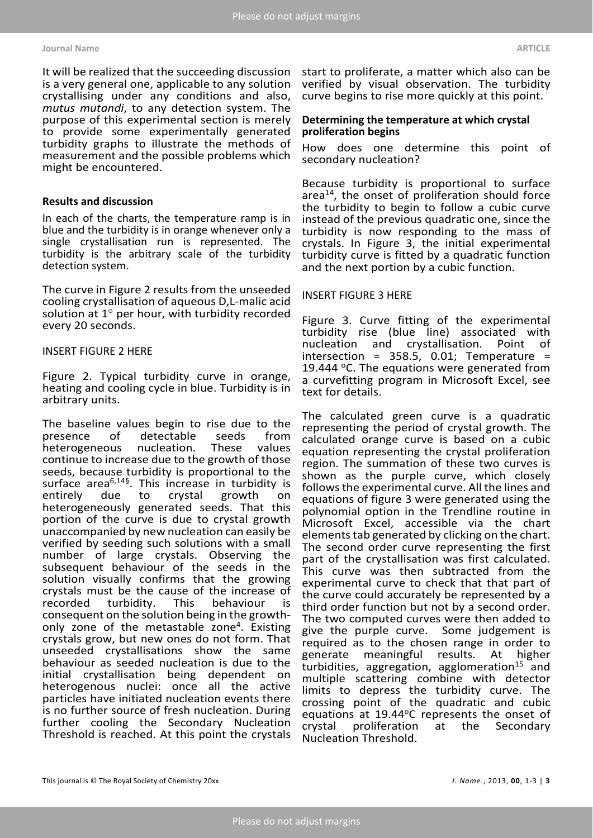#### **Journal Name ARTICLE**

It will be realized that the succeeding discussion is a very general one, applicable to any solution crystallising under any conditions and also, *mutus mutandi*, to any detection system. The purpose of this experimental section is merely to provide some experimentally generated turbidity graphs to illustrate the methods of measurement and the possible problems which might be encountered.

# **Results and discussion**

In each of the charts, the temperature ramp is in blue and the turbidity is in orange whenever only a single crystallisation run is represented. The turbidity is the arbitrary scale of the turbidity detection system.

The curve in Figure 2 results from the unseeded cooling crystallisation of aqueous D,L-malic acid solution at 1° per hour, with turbidity recorded every 20 seconds.

# INSERT FIGURE 2 HERE

Figure 2. Typical turbidity curve in orange, heating and cooling cycle in blue. Turbidity is in arbitrary units.

The baseline values begin to rise due to the<br>presence of detectable seeds from presence of detectable seeds from<br>heterogeneous nucleation. These values heterogeneous continue to increase due to the growth of those seeds, because turbidity is proportional to the surface area<sup>6,14§</sup>. This increase in turbidity is entirely due to crystal growth on entirely due to crystal growth heterogeneously generated seeds. That this portion of the curve is due to crystal growth unaccompanied by new nucleation can easily be verified by seeding such solutions with a small number of large crystals. Observing the subsequent behaviour of the seeds in the solution visually confirms that the growing crystals must be the cause of the increase of turbidity. This behaviour is consequent on the solution being in the growthonly zone of the metastable zone4. Existing crystals grow, but new ones do not form. That unseeded crystallisations show the same behaviour as seeded nucleation is due to the initial crystallisation being dependent on heterogenous nuclei: once all the active particles have initiated nucleation events there is no further source of fresh nucleation. During further cooling the Secondary Nucleation Threshold is reached. At this point the crystals

start to proliferate, a matter which also can be verified by visual observation. The turbidity curve begins to rise more quickly at this point.

# **Determining the temperature at which crystal proliferation begins**

How does one determine this point of secondary nucleation?

Because turbidity is proportional to surface area<sup>14</sup>, the onset of proliferation should force the turbidity to begin to follow a cubic curve instead of the previous quadratic one, since the turbidity is now responding to the mass of crystals. In Figure 3, the initial experimental turbidity curve is fitted by a quadratic function and the next portion by a cubic function.

# INSERT FIGURE 3 HERE

Figure 3. Curve fitting of the experimental turbidity rise (blue line) associated with crystallisation. Point intersection = 358.5, 0.01; Temperature = 19.444  $\degree$ C. The equations were generated from a curvefitting program in Microsoft Excel, see text for details.

The calculated green curve is a quadratic representing the period of crystal growth. The calculated orange curve is based on a cubic equation representing the crystal proliferation region. The summation of these two curves is shown as the purple curve, which closely follows the experimental curve. All the lines and equations of figure 3 were generated using the polynomial option in the Trendline routine in Microsoft Excel, accessible via the chart elements tab generated by clicking on the chart. The second order curve representing the first part of the crystallisation was first calculated. This curve was then subtracted from the experimental curve to check that that part of the curve could accurately be represented by a third order function but not by a second order. The two computed curves were then added to give the purple curve. Some judgement is required as to the chosen range in order to<br>generate meaningful results. At higher generate meaningful results. At higher turbidities, aggregation, agglomeration<sup>15</sup> and multiple scattering combine with detector limits to depress the turbidity curve. The crossing point of the quadratic and cubic equations at 19.44°C represents the onset of crystal proliferation at the Secondary crystal proliferation at the Secondary Nucleation Threshold.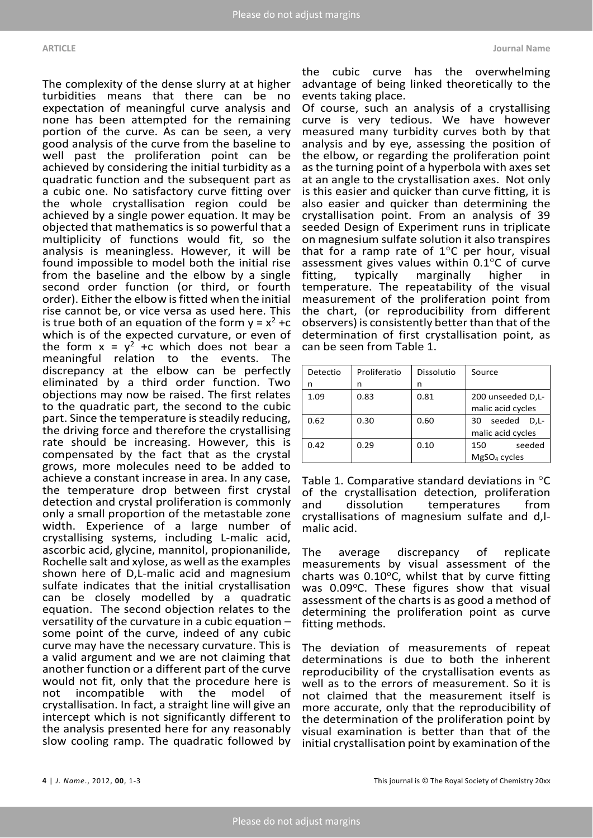The complexity of the dense slurry at at higher turbidities means that there can be no expectation of meaningful curve analysis and none has been attempted for the remaining portion of the curve. As can be seen, a very good analysis of the curve from the baseline to well past the proliferation point can be achieved by considering the initial turbidity as a quadratic function and the subsequent part as a cubic one. No satisfactory curve fitting over the whole crystallisation region could be achieved by a single power equation. It may be objected that mathematics is so powerful that a multiplicity of functions would fit, so the analysis is meaningless. However, it will be found impossible to model both the initial rise from the baseline and the elbow by a single second order function (or third, or fourth order). Either the elbow is fitted when the initial rise cannot be, or vice versa as used here. This is true both of an equation of the form  $y = x^2 + c$ which is of the expected curvature, or even of the form  $x = y^2 + c$  which does not bear a meaningful relation to the events. The discrepancy at the elbow can be perfectly eliminated by a third order function. Two objections may now be raised. The first relates to the quadratic part, the second to the cubic part. Since the temperature is steadily reducing, the driving force and therefore the crystallising rate should be increasing. However, this is compensated by the fact that as the crystal grows, more molecules need to be added to achieve a constant increase in area. In any case, the temperature drop between first crystal detection and crystal proliferation is commonly only a small proportion of the metastable zone width. Experience of a large number of crystallising systems, including L-malic acid, ascorbic acid, glycine, mannitol, propionanilide, Rochelle salt and xylose, as well as the examples shown here of D,L-malic acid and magnesium sulfate indicates that the initial crystallisation can be closely modelled by a quadratic equation. The second objection relates to the versatility of the curvature in a cubic equation – some point of the curve, indeed of any cubic curve may have the necessary curvature. This is a valid argument and we are not claiming that another function or a different part of the curve would not fit, only that the procedure here is<br>not incompatible with the model of not incompatible with the model of crystallisation. In fact, a straight line will give an intercept which is not significantly different to the analysis presented here for any reasonably slow cooling ramp. The quadratic followed by

the cubic curve has the overwhelming advantage of being linked theoretically to the events taking place.

Of course, such an analysis of a crystallising curve is very tedious. We have however measured many turbidity curves both by that analysis and by eye, assessing the position of the elbow, or regarding the proliferation point as the turning point of a hyperbola with axes set at an angle to the crystallisation axes. Not only is this easier and quicker than curve fitting, it is also easier and quicker than determining the crystallisation point. From an analysis of 39 seeded Design of Experiment runs in triplicate on magnesium sulfate solution it also transpires that for a ramp rate of  $1^{\circ}$ C per hour, visual assessment gives values within  $0.1^{\circ}$ C of curve fitting, typically marginally higher in fitting, typically marginally higher in temperature. The repeatability of the visual measurement of the proliferation point from the chart, (or reproducibility from different observers) is consistently better than that of the determination of first crystallisation point, as can be seen from Table 1.

| Detectio | Proliferatio | Dissolutio | Source                                    |  |  |
|----------|--------------|------------|-------------------------------------------|--|--|
| n        | n            | n          |                                           |  |  |
| 1.09     | 0.83         | 0.81       | 200 unseeded D,L-<br>malic acid cycles    |  |  |
| 0.62     | 0.30         | 0.60       | seeded<br>D.L-<br>30<br>malic acid cycles |  |  |
| 0.42     | 0.29         | 0.10       | seeded<br>150<br>$MgSO4$ cycles           |  |  |

Table 1. Comparative standard deviations in °C of the crystallisation detection, proliferation and dissolution temperatures from crystallisations of magnesium sulfate and d,lmalic acid.

The average discrepancy of replicate measurements by visual assessment of the charts was  $0.10^{\circ}$ C, whilst that by curve fitting was  $0.09^{\circ}$ C. These figures show that visual assessment of the charts is as good a method of determining the proliferation point as curve fitting methods.

The deviation of measurements of repeat determinations is due to both the inherent reproducibility of the crystallisation events as well as to the errors of measurement. So it is not claimed that the measurement itself is more accurate, only that the reproducibility of the determination of the proliferation point by visual examination is better than that of the initial crystallisation point by examination of the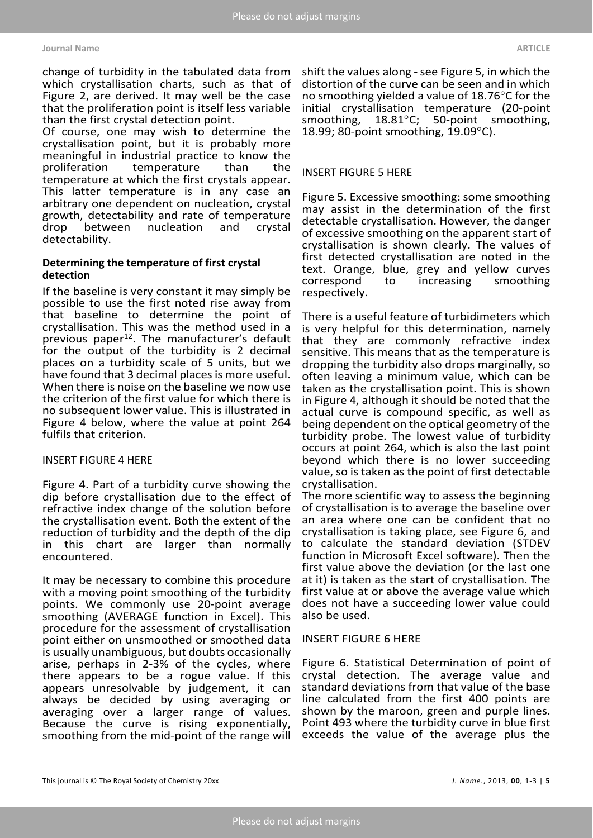#### **Journal Name ARTICLE**

change of turbidity in the tabulated data from which crystallisation charts, such as that of Figure 2, are derived. It may well be the case that the proliferation point is itself less variable than the first crystal detection point.

Of course, one may wish to determine the crystallisation point, but it is probably more meaningful in industrial practice to know the<br>proliferation temperature than the temperature temperature at which the first crystals appear. This latter temperature is in any case an arbitrary one dependent on nucleation, crystal growth, detectability and rate of temperature<br>drop between nucleation and crystal drop between nucleation and crystal detectability.

# **Determining the temperature of first crystal detection**

If the baseline is very constant it may simply be possible to use the first noted rise away from that baseline to determine the point of crystallisation. This was the method used in a previous paper $12$ . The manufacturer's default for the output of the turbidity is 2 decimal places on a turbidity scale of 5 units, but we have found that 3 decimal places is more useful. When there is noise on the baseline we now use the criterion of the first value for which there is no subsequent lower value. This is illustrated in Figure 4 below, where the value at point 264 fulfils that criterion.

### INSERT FIGURE 4 HERE

Figure 4. Part of a turbidity curve showing the dip before crystallisation due to the effect of refractive index change of the solution before the crystallisation event. Both the extent of the reduction of turbidity and the depth of the dip in this chart are larger than normally encountered.

It may be necessary to combine this procedure with a moving point smoothing of the turbidity points. We commonly use 20-point average smoothing (AVERAGE function in Excel). This procedure for the assessment of crystallisation point either on unsmoothed or smoothed data is usually unambiguous, but doubts occasionally arise, perhaps in 2-3% of the cycles, where there appears to be a rogue value. If this appears unresolvable by judgement, it can always be decided by using averaging or averaging over a larger range of values. Because the curve is rising exponentially, smoothing from the mid-point of the range will

shift the values along - see Figure 5, in which the distortion of the curve can be seen and in which no smoothing yielded a value of 18.76°C for the initial crystallisation temperature (20-point smoothing,  $18.81^{\circ}$ C; 50-point smoothing, 50-point smoothing, 18.99; 80-point smoothing, 19.09°C).

# INSERT FIGURE 5 HERE

Figure 5. Excessive smoothing: some smoothing may assist in the determination of the first detectable crystallisation. However, the danger of excessive smoothing on the apparent start of crystallisation is shown clearly. The values of first detected crystallisation are noted in the text. Orange, blue, grey and yellow curves correspond to increasing smoothing respectively.

There is a useful feature of turbidimeters which is very helpful for this determination, namely that they are commonly refractive index sensitive. This means that as the temperature is dropping the turbidity also drops marginally, so often leaving a minimum value, which can be taken as the crystallisation point. This is shown in Figure 4, although it should be noted that the actual curve is compound specific, as well as being dependent on the optical geometry of the turbidity probe. The lowest value of turbidity occurs at point 264, which is also the last point beyond which there is no lower succeeding value, so is taken as the point of first detectable crystallisation.

The more scientific way to assess the beginning of crystallisation is to average the baseline over an area where one can be confident that no crystallisation is taking place, see Figure 6, and to calculate the standard deviation (STDEV function in Microsoft Excel software). Then the first value above the deviation (or the last one at it) is taken as the start of crystallisation. The first value at or above the average value which does not have a succeeding lower value could also be used.

### INSERT FIGURE 6 HERE

Figure 6. Statistical Determination of point of crystal detection. The average value and standard deviations from that value of the base line calculated from the first 400 points are shown by the maroon, green and purple lines. Point 493 where the turbidity curve in blue first exceeds the value of the average plus the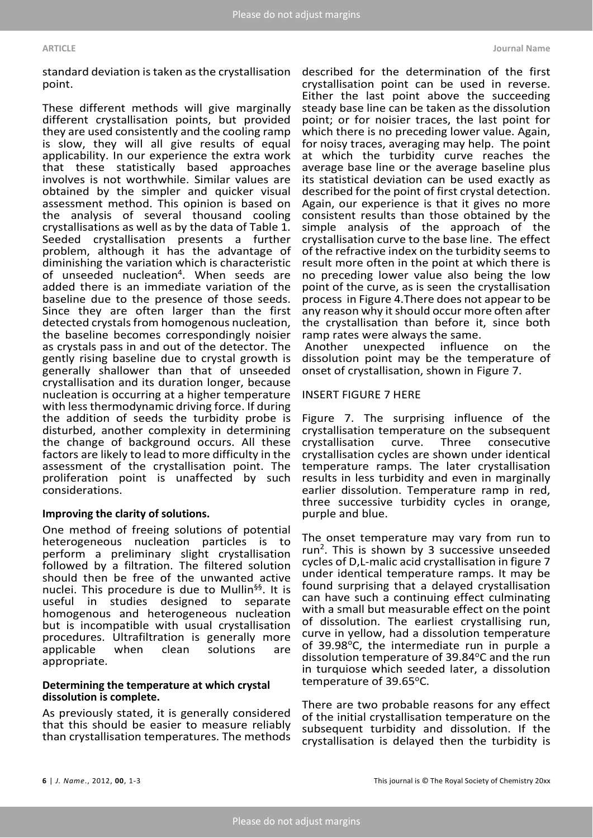standard deviation is taken as the crystallisation point.

These different methods will give marginally different crystallisation points, but provided they are used consistently and the cooling ramp is slow, they will all give results of equal applicability. In our experience the extra work that these statistically based approaches involves is not worthwhile. Similar values are obtained by the simpler and quicker visual assessment method. This opinion is based on the analysis of several thousand cooling crystallisations as well as by the data of Table 1. Seeded crystallisation presents a further problem, although it has the advantage of diminishing the variation which is characteristic of unseeded nucleation<sup>4</sup>. When seeds are added there is an immediate variation of the baseline due to the presence of those seeds. Since they are often larger than the first detected crystals from homogenous nucleation, the baseline becomes correspondingly noisier as crystals pass in and out of the detector. The gently rising baseline due to crystal growth is generally shallower than that of unseeded crystallisation and its duration longer, because nucleation is occurring at a higher temperature with less thermodynamic driving force. If during the addition of seeds the turbidity probe is disturbed, another complexity in determining the change of background occurs. All these factors are likely to lead to more difficulty in the assessment of the crystallisation point. The proliferation point is unaffected by such considerations.

# **Improving the clarity of solutions.**

One method of freeing solutions of potential heterogeneous nucleation particles is to perform a preliminary slight crystallisation followed by a filtration. The filtered solution should then be free of the unwanted active nuclei. This procedure is due to Mullin<sup>§§</sup>. It is useful in studies designed to separate homogenous and heterogeneous nucleation but is incompatible with usual crystallisation procedures. Ultrafiltration is generally more<br>applicable when clean solutions are applicable appropriate.

# **Determining the temperature at which crystal dissolution is complete.**

As previously stated, it is generally considered that this should be easier to measure reliably than crystallisation temperatures. The methods

described for the determination of the first crystallisation point can be used in reverse. Either the last point above the succeeding steady base line can be taken as the dissolution point; or for noisier traces, the last point for which there is no preceding lower value. Again, for noisy traces, averaging may help. The point at which the turbidity curve reaches the average base line or the average baseline plus its statistical deviation can be used exactly as described for the point of first crystal detection. Again, our experience is that it gives no more consistent results than those obtained by the simple analysis of the approach of the crystallisation curve to the base line. The effect of the refractive index on the turbidity seems to result more often in the point at which there is no preceding lower value also being the low point of the curve, as is seen the crystallisation process in Figure 4.There does not appear to be any reason why it should occur more often after the crystallisation than before it, since both ramp rates were always the same.<br>Another unexpected influenc

unexpected influence on the dissolution point may be the temperature of onset of crystallisation, shown in Figure 7.

#### INSERT FIGURE 7 HERE

Figure 7. The surprising influence of the crystallisation temperature on the subsequent<br>crystallisation curve. Three consecutive crystallisation crystallisation cycles are shown under identical temperature ramps. The later crystallisation results in less turbidity and even in marginally earlier dissolution. Temperature ramp in red, three successive turbidity cycles in orange, purple and blue.

The onset temperature may vary from run to run<sup>2</sup>. This is shown by 3 successive unseeded cycles of D,L-malic acid crystallisation in figure 7 under identical temperature ramps. It may be found surprising that a delayed crystallisation can have such a continuing effect culminating with a small but measurable effect on the point of dissolution. The earliest crystallising run, curve in yellow, had a dissolution temperature of 39.98°C, the intermediate run in purple a dissolution temperature of 39.84°C and the run in turquiose which seeded later, a dissolution temperature of  $39.65$ °C.

There are two probable reasons for any effect of the initial crystallisation temperature on the subsequent turbidity and dissolution. If the crystallisation is delayed then the turbidity is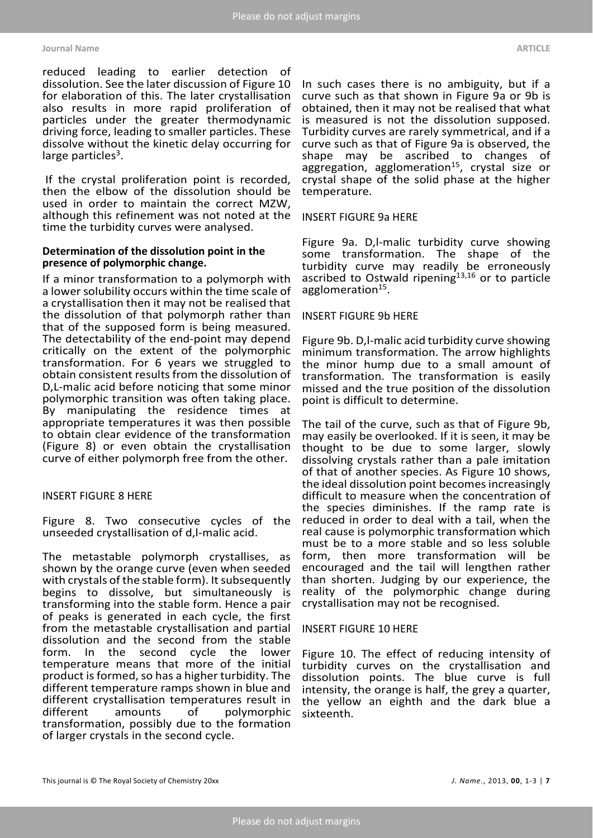reduced leading to earlier detection of dissolution. See the later discussion of Figure 10 for elaboration of this. The later crystallisation also results in more rapid proliferation of particles under the greater thermodynamic driving force, leading to smaller particles. These dissolve without the kinetic delay occurring for large particles<sup>3</sup>.

If the crystal proliferation point is recorded, then the elbow of the dissolution should be used in order to maintain the correct MZW, although this refinement was not noted at the time the turbidity curves were analysed.

# **Determination of the dissolution point in the presence of polymorphic change.**

If a minor transformation to a polymorph with a lower solubility occurs within the time scale of a crystallisation then it may not be realised that the dissolution of that polymorph rather than that of the supposed form is being measured. The detectability of the end-point may depend critically on the extent of the polymorphic transformation. For 6 years we struggled to obtain consistent results from the dissolution of D,L-malic acid before noticing that some minor polymorphic transition was often taking place. By manipulating the residence times at appropriate temperatures it was then possible to obtain clear evidence of the transformation (Figure 8) or even obtain the crystallisation curve of either polymorph free from the other.

### INSERT FIGURE 8 HERE

Figure 8. Two consecutive cycles of the unseeded crystallisation of d,l-malic acid.

The metastable polymorph crystallises, as shown by the orange curve (even when seeded with crystals of the stable form). It subsequently begins to dissolve, but simultaneously is transforming into the stable form. Hence a pair of peaks is generated in each cycle, the first from the metastable crystallisation and partial dissolution and the second from the stable<br>form. In the second cycle the lower form. In the second cycle the lower temperature means that more of the initial product is formed, so has a higher turbidity. The different temperature ramps shown in blue and different crystallisation temperatures result in<br>different amounts of polymorphic polymorphic transformation, possibly due to the formation of larger crystals in the second cycle.

In such cases there is no ambiguity, but if a curve such as that shown in Figure 9a or 9b is obtained, then it may not be realised that what is measured is not the dissolution supposed. Turbidity curves are rarely symmetrical, and if a curve such as that of Figure 9a is observed, the shape may be ascribed to changes of aggregation, agglomeration<sup>15</sup>, crystal size or crystal shape of the solid phase at the higher temperature.

#### INSERT FIGURE 9a HERE

Figure 9a. D,l-malic turbidity curve showing some transformation. The shape of the turbidity curve may readily be erroneously ascribed to Ostwald ripening<sup>13,16</sup> or to particle agglomeration<sup>15</sup>.

#### INSERT FIGURE 9b HERE

Figure 9b. D,l-malic acid turbidity curve showing minimum transformation. The arrow highlights the minor hump due to a small amount of transformation. The transformation is easily missed and the true position of the dissolution point is difficult to determine.

The tail of the curve, such as that of Figure 9b, may easily be overlooked. If it is seen, it may be thought to be due to some larger, slowly dissolving crystals rather than a pale imitation of that of another species. As Figure 10 shows, the ideal dissolution point becomes increasingly difficult to measure when the concentration of the species diminishes. If the ramp rate is reduced in order to deal with a tail, when the real cause is polymorphic transformation which must be to a more stable and so less soluble form, then more transformation will be encouraged and the tail will lengthen rather than shorten. Judging by our experience, the reality of the polymorphic change during crystallisation may not be recognised.

#### INSERT FIGURE 10 HERE

Figure 10. The effect of reducing intensity of turbidity curves on the crystallisation and dissolution points. The blue curve is full intensity, the orange is half, the grey a quarter, the yellow an eighth and the dark blue a sixteenth.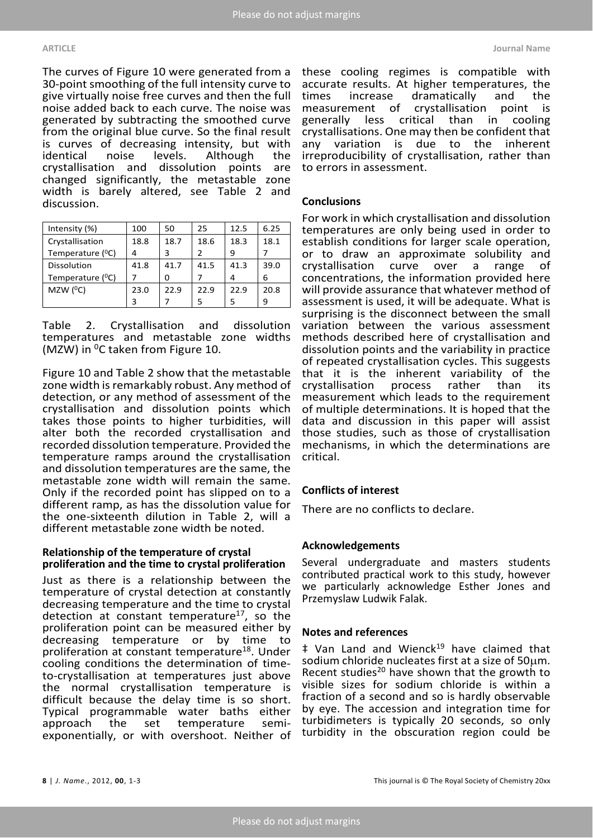#### **ARTICLE Journal Name**

The curves of Figure 10 were generated from a 30-point smoothing of the full intensity curve to give virtually noise free curves and then the full noise added back to each curve. The noise was generated by subtracting the smoothed curve from the original blue curve. So the final result is curves of decreasing intensity, but with identical noise levels. Although the<br>crystallisation and dissolution points are points are changed significantly, the metastable zone width is barely altered, see Table 2 and discussion.

| Intensity (%)                 | 100  | 50   | 25   | 12.5 | 6.25 |
|-------------------------------|------|------|------|------|------|
| Crystallisation               | 18.8 | 18.7 | 18.6 | 18.3 | 18.1 |
| Temperature ( <sup>o</sup> C) | 4    | 3    | 2    | 9    |      |
| Dissolution                   | 41.8 | 41.7 | 41.5 | 41.3 | 39.0 |
| Temperature ( <sup>O</sup> C) |      | ი    |      | 4    | 6    |
| MZW $(^{0}C)$                 | 23.0 | 22.9 | 22.9 | 22.9 | 20.8 |
|                               | 3    |      | 5    |      | 9    |

Table 2. Crystallisation and dissolution temperatures and metastable zone widths (MZW) in  $^{0}$ C taken from Figure 10.

Figure 10 and Table 2 show that the metastable zone width is remarkably robust. Any method of detection, or any method of assessment of the crystallisation and dissolution points which takes those points to higher turbidities, will alter both the recorded crystallisation and recorded dissolution temperature. Provided the temperature ramps around the crystallisation and dissolution temperatures are the same, the metastable zone width will remain the same. Only if the recorded point has slipped on to a different ramp, as has the dissolution value for the one-sixteenth dilution in Table 2, will a different metastable zone width be noted.

### **Relationship of the temperature of crystal proliferation and the time to crystal proliferation**

Just as there is a relationship between the temperature of crystal detection at constantly decreasing temperature and the time to crystal detection at constant temperature<sup>17</sup>, so the proliferation point can be measured either by decreasing temperature or by time to proliferation at constant temperature<sup>18</sup>. Under cooling conditions the determination of timeto-crystallisation at temperatures just above the normal crystallisation temperature is difficult because the delay time is so short. Typical programmable water baths either approach the set temperature semiexponentially, or with overshoot. Neither of

these cooling regimes is compatible with accurate results. At higher temperatures, the times increase dramatically and the measurement of crystallisation point is<br>generally less critical than in cooling generally less critical than in crystallisations. One may then be confident that any variation is due to the inherent irreproducibility of crystallisation, rather than to errors in assessment.

# **Conclusions**

For work in which crystallisation and dissolution temperatures are only being used in order to establish conditions for larger scale operation, or to draw an approximate solubility and<br>crystallisation curve over a range of crystallisation curve concentrations, the information provided here will provide assurance that whatever method of assessment is used, it will be adequate. What is surprising is the disconnect between the small variation between the various assessment methods described here of crystallisation and dissolution points and the variability in practice of repeated crystallisation cycles. This suggests that it is the inherent variability of the<br>crystallisation process rather than its crystallisation measurement which leads to the requirement of multiple determinations. It is hoped that the data and discussion in this paper will assist those studies, such as those of crystallisation mechanisms, in which the determinations are critical.

# **Conflicts of interest**

There are no conflicts to declare.

### **Acknowledgements**

Several undergraduate and masters students contributed practical work to this study, however we particularly acknowledge Esther Jones and Przemyslaw Ludwik Falak.

### **Notes and references**

 $\ddagger$  Van Land and Wienck<sup>19</sup> have claimed that sodium chloride nucleates first at a size of 50µm. Recent studies<sup>20</sup> have shown that the growth to visible sizes for sodium chloride is within a fraction of a second and so is hardly observable by eye. The accession and integration time for turbidimeters is typically 20 seconds, so only turbidity in the obscuration region could be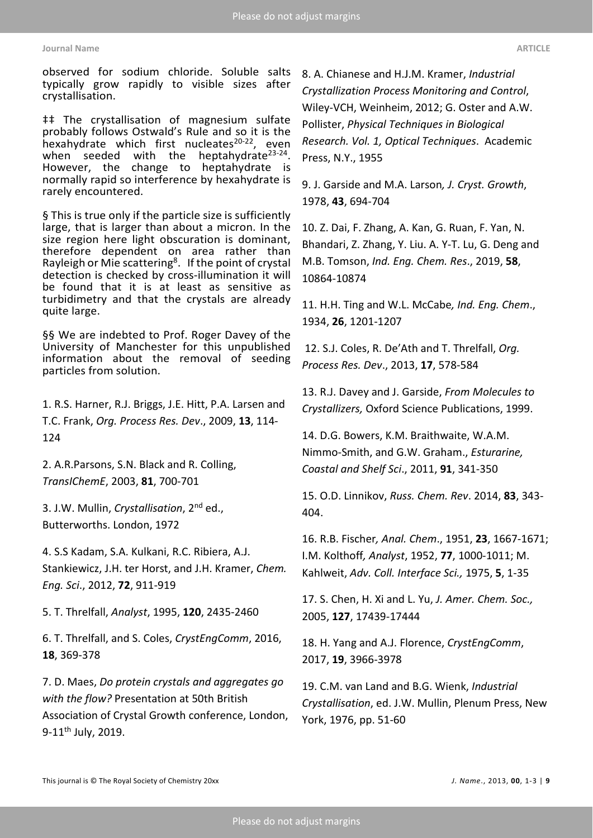#### **Journal Name ARTICLE**

observed for sodium chloride. Soluble salts typically grow rapidly to visible sizes after crystallisation.

‡‡ The crystallisation of magnesium sulfate probably follows Ostwald's Rule and so it is the hexahydrate which first nucleates $20-22$ , even when seeded with the heptahydrate<sup>23-24</sup>.<br>However, the change to heptahydrate is normally rapid so interference by hexahydrate is rarely encountered.

§ This is true only if the particle size is sufficiently large, that is larger than about a micron. In the size region here light obscuration is dominant, therefore dependent on area rather than Rayleigh or Mie scattering<sup>8</sup>. If the point of crystal detection is checked by cross-illumination it will be found that it is at least as sensitive as turbidimetry and that the crystals are already quite large.

§§ We are indebted to Prof. Roger Davey of the University of Manchester for this unpublished information about the removal of seeding particles from solution.

1. R.S. Harner, R.J. Briggs, J.E. Hitt, P.A. Larsen and T.C. Frank, *Org. Process Res. Dev*., 2009, **13**, 114- 124

2. A.R.Parsons, S.N. Black and R. Colling, *TransIChemE*, 2003, **81**, 700-701

3. J.W. Mullin, *Crystallisation*, 2nd ed., Butterworths. London, 1972

4. S.S Kadam, S.A. Kulkani, R.C. Ribiera, A.J. Stankiewicz, J.H. ter Horst, and J.H. Kramer, *Chem. Eng. Sci*., 2012, **72**, 911-919

5. T. Threlfall, *Analyst*, 1995, **120**, 2435-2460

6. T. Threlfall, and S. Coles, *CrystEngComm*, 2016, **18**, 369-378

7. D. Maes, *Do protein crystals and aggregates go with the flow?* Presentation at 50th British Association of Crystal Growth conference, London, 9-11<sup>th</sup> July, 2019.

8. A. Chianese and H.J.M. Kramer, *Industrial Crystallization Process Monitoring and Control*, Wiley-VCH, Weinheim, 2012; G. Oster and A.W. Pollister, *Physical Techniques in Biological Research. Vol. 1, Optical Techniques*. Academic Press, N.Y., 1955

9. J. Garside and M.A. Larson*, J. Cryst. Growth*, 1978, **43**, 694-704

10. Z. Dai, F. Zhang, A. Kan, G. Ruan, F. Yan, N. Bhandari, Z. Zhang, Y. Liu. A. Y-T. Lu, G. Deng and M.B. Tomson, *Ind. Eng. Chem. Res*., 2019, **58**, 10864-10874

11. H.H. Ting and W.L. McCabe*, Ind. Eng. Chem*., 1934, **26**, 1201-1207

12. S.J. Coles, R. De'Ath and T. Threlfall, *Org. Process Res. Dev*., 2013, **17**, 578-584

13. R.J. Davey and J. Garside, *From Molecules to Crystallizers,* Oxford Science Publications, 1999.

14. D.G. Bowers, K.M. Braithwaite, W.A.M. Nimmo-Smith, and G.W. Graham., *Esturarine, Coastal and Shelf Sci*., 2011, **91**, 341-350

15. O.D. Linnikov, *Russ. Chem. Rev*. 2014, **83**, 343- 404.

16. R.B. Fischer*, Anal. Chem*., 1951, **23**, 1667-1671; I.M. Kolthoff*, Analyst*, 1952, **77**, 1000-1011; M. Kahlweit, *Adv. Coll. Interface Sci.,* 1975, **5**, 1-35

17. S. Chen, H. Xi and L. Yu, *J. Amer. Chem. Soc.,* 2005, **127**, 17439-17444

18. H. Yang and A.J. Florence, *CrystEngComm*, 2017, **19**, 3966-3978

19. C.M. van Land and B.G. Wienk, *Industrial Crystallisation*, ed. J.W. Mullin, Plenum Press, New York, 1976, pp. 51-60